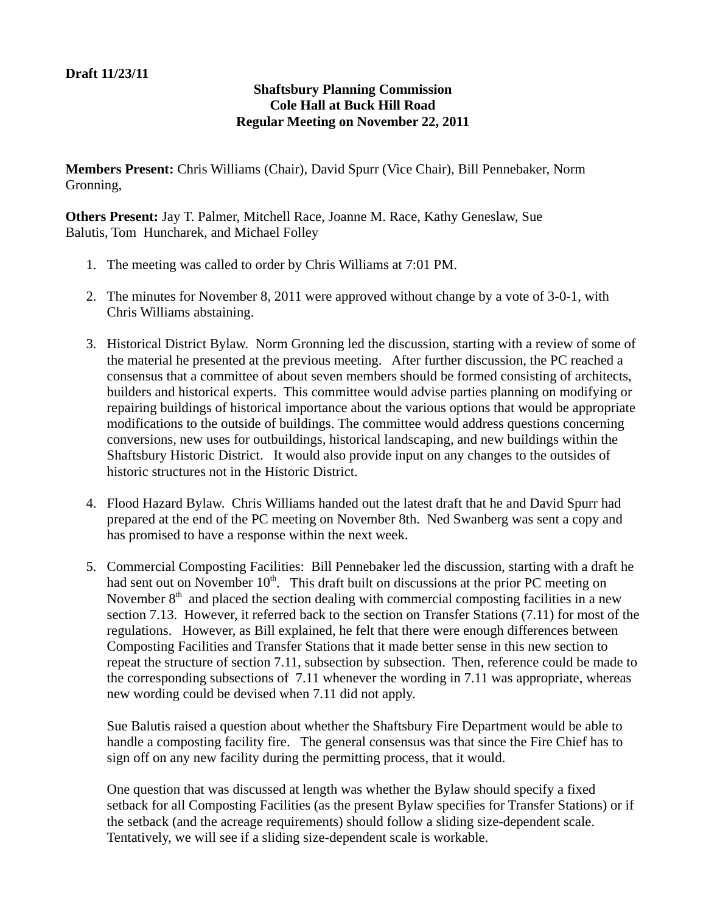## **Draft 11/23/11**

## **Shaftsbury Planning Commission Cole Hall at Buck Hill Road Regular Meeting on November 22, 2011**

**Members Present:** Chris Williams (Chair), David Spurr (Vice Chair), Bill Pennebaker, Norm Gronning,

**Others Present:** Jay T. Palmer, Mitchell Race, Joanne M. Race, Kathy Geneslaw, Sue Balutis, Tom Huncharek, and Michael Folley

- 1. The meeting was called to order by Chris Williams at 7:01 PM.
- 2. The minutes for November 8, 2011 were approved without change by a vote of 3-0-1, with Chris Williams abstaining.
- 3. Historical District Bylaw. Norm Gronning led the discussion, starting with a review of some of the material he presented at the previous meeting. After further discussion, the PC reached a consensus that a committee of about seven members should be formed consisting of architects, builders and historical experts. This committee would advise parties planning on modifying or repairing buildings of historical importance about the various options that would be appropriate modifications to the outside of buildings. The committee would address questions concerning conversions, new uses for outbuildings, historical landscaping, and new buildings within the Shaftsbury Historic District. It would also provide input on any changes to the outsides of historic structures not in the Historic District.
- 4. Flood Hazard Bylaw. Chris Williams handed out the latest draft that he and David Spurr had prepared at the end of the PC meeting on November 8th. Ned Swanberg was sent a copy and has promised to have a response within the next week.
- 5. Commercial Composting Facilities: Bill Pennebaker led the discussion, starting with a draft he had sent out on November  $10<sup>th</sup>$ . This draft built on discussions at the prior PC meeting on November  $8<sup>th</sup>$  and placed the section dealing with commercial composting facilities in a new section 7.13. However, it referred back to the section on Transfer Stations (7.11) for most of the regulations. However, as Bill explained, he felt that there were enough differences between Composting Facilities and Transfer Stations that it made better sense in this new section to repeat the structure of section 7.11, subsection by subsection. Then, reference could be made to the corresponding subsections of 7.11 whenever the wording in 7.11 was appropriate, whereas new wording could be devised when 7.11 did not apply.

Sue Balutis raised a question about whether the Shaftsbury Fire Department would be able to handle a composting facility fire. The general consensus was that since the Fire Chief has to sign off on any new facility during the permitting process, that it would.

One question that was discussed at length was whether the Bylaw should specify a fixed setback for all Composting Facilities (as the present Bylaw specifies for Transfer Stations) or if the setback (and the acreage requirements) should follow a sliding size-dependent scale. Tentatively, we will see if a sliding size-dependent scale is workable.